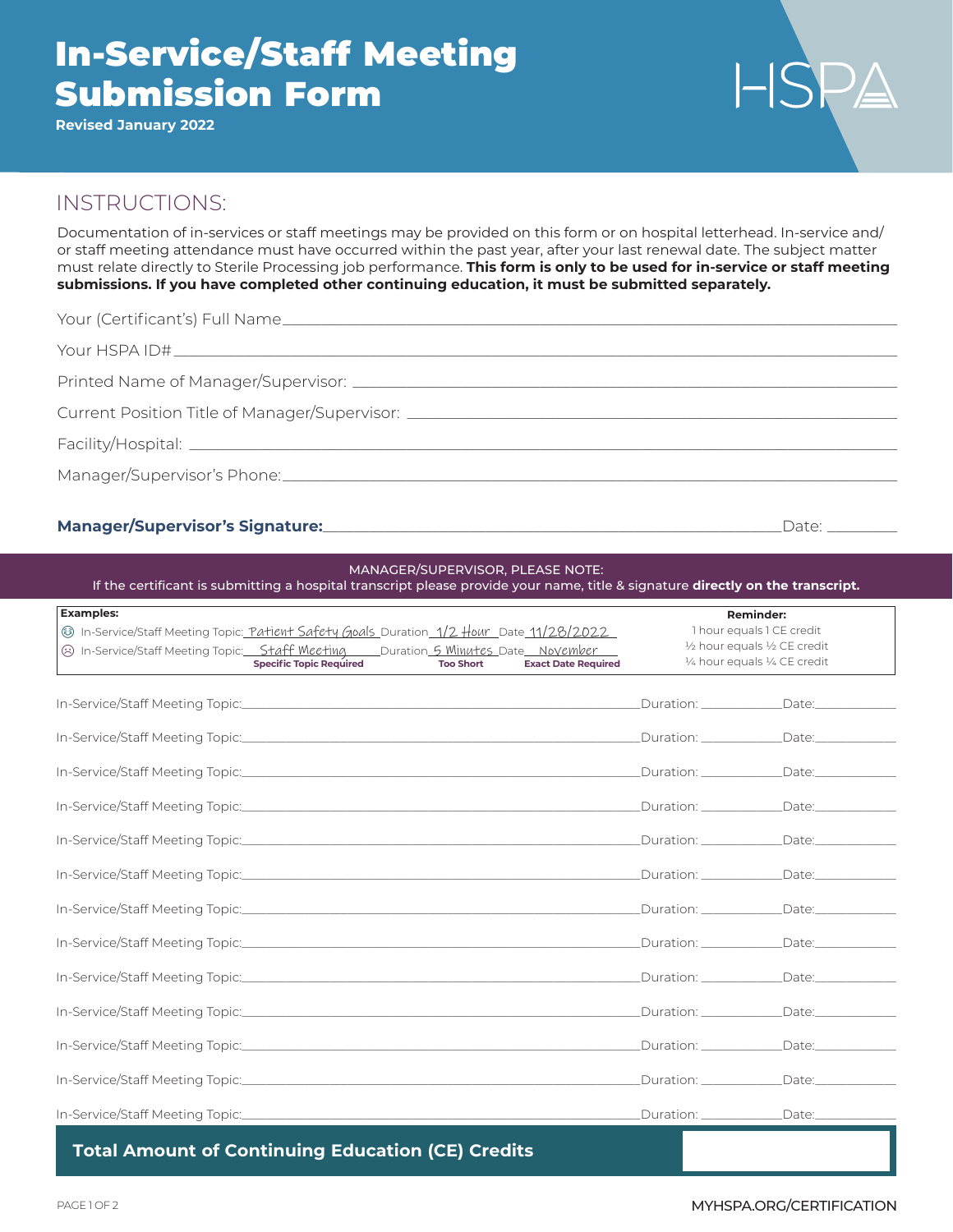# In-Service/Staff Meeting Submission Form

**Revised January 2022**

# $HSPA$

## INSTRUCTIONS:

Documentation of in-services or staff meetings may be provided on this form or on hospital letterhead. In-service and/ or staff meeting attendance must have occurred within the past year, after your last renewal date. The subject matter must relate directly to Sterile Processing job performance. **This form is only to be used for in-service or staff meeting submissions. If you have completed other continuing education, it must be submitted separately.**

| Current Position Title of Manager/Supervisor: __________________________________ |  |
|----------------------------------------------------------------------------------|--|
|                                                                                  |  |
|                                                                                  |  |
|                                                                                  |  |

#### **Manager/Supervisor's Signature:**\_\_\_\_\_\_\_\_\_\_\_\_\_\_\_\_\_\_\_\_\_\_\_\_\_\_\_\_\_\_\_\_\_\_\_\_\_\_\_\_\_\_\_\_\_\_\_\_\_\_\_\_\_\_\_\_\_\_\_Date: \_\_\_\_\_\_\_\_\_

| <b>Examples:</b>                                                                                                                                                                                                                          |                            | <b>Reminder:</b>                                                                            |  |
|-------------------------------------------------------------------------------------------------------------------------------------------------------------------------------------------------------------------------------------------|----------------------------|---------------------------------------------------------------------------------------------|--|
| Standall In-Service/Staff Meeting Topic: Patient Safety Goals Duration 1/2 Hour Date 11/28/2022<br>3 In-Service/Staff Meeting Topic: Staff Meeting Duration 5 Minutes Date November<br><b>Specific Topic Required</b><br><b>Too Short</b> | <b>Exact Date Required</b> | 1 hour equals 1 CE credit<br>1/2 hour equals 1/2 CE credit<br>1/4 hour equals 1/4 CE credit |  |
|                                                                                                                                                                                                                                           |                            | Duration: ______________Date: ____________                                                  |  |
|                                                                                                                                                                                                                                           |                            | Duration: _______________Date: ______________                                               |  |
|                                                                                                                                                                                                                                           |                            | Duration: ______________Date: ____________                                                  |  |
|                                                                                                                                                                                                                                           |                            |                                                                                             |  |
|                                                                                                                                                                                                                                           |                            |                                                                                             |  |
|                                                                                                                                                                                                                                           |                            | Duration: _______________Date: ______________                                               |  |
|                                                                                                                                                                                                                                           |                            | Duration: Date:                                                                             |  |
|                                                                                                                                                                                                                                           |                            |                                                                                             |  |
|                                                                                                                                                                                                                                           |                            | Duration: ______________Date: ______________                                                |  |
|                                                                                                                                                                                                                                           |                            | Duration: _______________Date: _______________                                              |  |
|                                                                                                                                                                                                                                           |                            | Duration: _______________Date: _______________                                              |  |
|                                                                                                                                                                                                                                           |                            | Duration: _______________Date: _______________                                              |  |
|                                                                                                                                                                                                                                           |                            | Duration: ______________Date: _____________                                                 |  |